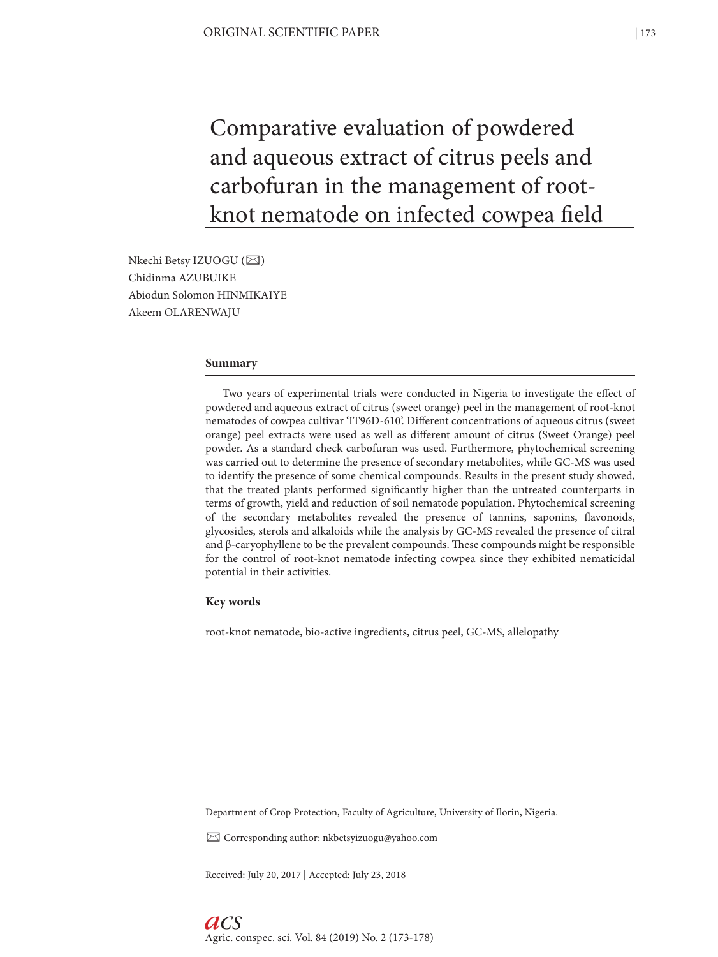Comparative evaluation of powdered and aqueous extract of citrus peels and carbofuran in the management of rootknot nematode on infected cowpea field

Nkechi Betsy IZUOGU (⊠) Chidinma AZUBUIKE Abiodun Solomon HINMIKAIYE Akeem OLARENWAJU

# **Summary**

Two years of experimental trials were conducted in Nigeria to investigate the effect of powdered and aqueous extract of citrus (sweet orange) peel in the management of root-knot nematodes of cowpea cultivar 'IT96D-610'. Different concentrations of aqueous citrus (sweet orange) peel extracts were used as well as different amount of citrus (Sweet Orange) peel powder. As a standard check carbofuran was used. Furthermore, phytochemical screening was carried out to determine the presence of secondary metabolites, while GC-MS was used to identify the presence of some chemical compounds. Results in the present study showed, that the treated plants performed significantly higher than the untreated counterparts in terms of growth, yield and reduction of soil nematode population. Phytochemical screening of the secondary metabolites revealed the presence of tannins, saponins, flavonoids, glycosides, sterols and alkaloids while the analysis by GC-MS revealed the presence of citral and  $\beta$ -caryophyllene to be the prevalent compounds. These compounds might be responsible for the control of root-knot nematode infecting cowpea since they exhibited nematicidal potential in their activities.

#### **Key words**

root-knot nematode, bio-active ingredients, citrus peel, GC-MS, allelopathy

Department of Crop Protection, Faculty of Agriculture, University of Ilorin, Nigeria.

✉ Corresponding author: nkbetsyizuogu@yahoo.com

Received: July 20, 2017 | Accepted: July 23, 2018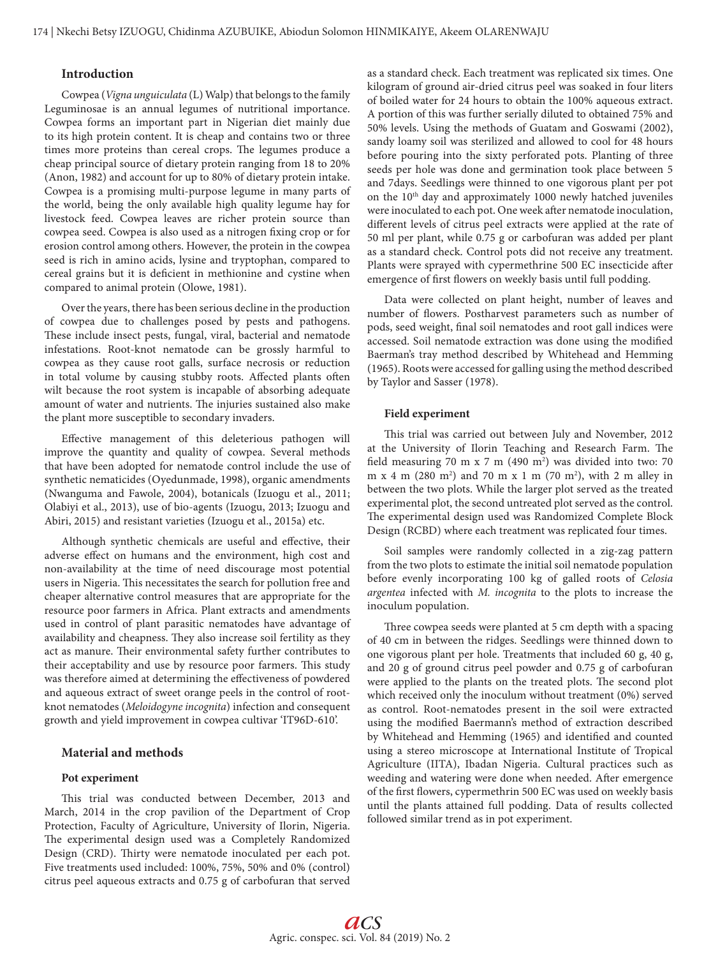# **Introduction**

Cowpea (*Vigna unguiculata* (L) Walp) that belongs to the family Leguminosae is an annual legumes of nutritional importance. Cowpea forms an important part in Nigerian diet mainly due to its high protein content. It is cheap and contains two or three times more proteins than cereal crops. The legumes produce a cheap principal source of dietary protein ranging from 18 to 20% (Anon, 1982) and account for up to 80% of dietary protein intake. Cowpea is a promising multi-purpose legume in many parts of the world, being the only available high quality legume hay for livestock feed. Cowpea leaves are richer protein source than cowpea seed. Cowpea is also used as a nitrogen fixing crop or for erosion control among others. However, the protein in the cowpea seed is rich in amino acids, lysine and tryptophan, compared to cereal grains but it is deficient in methionine and cystine when compared to animal protein (Olowe, 1981).

Over the years, there has been serious decline in the production of cowpea due to challenges posed by pests and pathogens. These include insect pests, fungal, viral, bacterial and nematode infestations. Root-knot nematode can be grossly harmful to cowpea as they cause root galls, surface necrosis or reduction in total volume by causing stubby roots. Affected plants often wilt because the root system is incapable of absorbing adequate amount of water and nutrients. The injuries sustained also make the plant more susceptible to secondary invaders.

Effective management of this deleterious pathogen will improve the quantity and quality of cowpea. Several methods that have been adopted for nematode control include the use of synthetic nematicides (Oyedunmade, 1998), organic amendments (Nwanguma and Fawole, 2004), botanicals (Izuogu et al., 2011; Olabiyi et al., 2013), use of bio-agents (Izuogu, 2013; Izuogu and Abiri, 2015) and resistant varieties (Izuogu et al., 2015a) etc.

Although synthetic chemicals are useful and effective, their adverse effect on humans and the environment, high cost and non-availability at the time of need discourage most potential users in Nigeria. This necessitates the search for pollution free and cheaper alternative control measures that are appropriate for the resource poor farmers in Africa. Plant extracts and amendments used in control of plant parasitic nematodes have advantage of availability and cheapness. They also increase soil fertility as they act as manure. Their environmental safety further contributes to their acceptability and use by resource poor farmers. This study was therefore aimed at determining the effectiveness of powdered and aqueous extract of sweet orange peels in the control of rootknot nematodes (*Meloidogyne incognita*) infection and consequent growth and yield improvement in cowpea cultivar 'IT96D-610'.

# **Material and methods**

#### **Pot experiment**

This trial was conducted between December, 2013 and March, 2014 in the crop pavilion of the Department of Crop Protection, Faculty of Agriculture, University of Ilorin, Nigeria. The experimental design used was a Completely Randomized Design (CRD). Thirty were nematode inoculated per each pot. Five treatments used included: 100%, 75%, 50% and 0% (control) citrus peel aqueous extracts and 0.75 g of carbofuran that served

as a standard check. Each treatment was replicated six times. One kilogram of ground air-dried citrus peel was soaked in four liters of boiled water for 24 hours to obtain the 100% aqueous extract. A portion of this was further serially diluted to obtained 75% and 50% levels. Using the methods of Guatam and Goswami (2002), sandy loamy soil was sterilized and allowed to cool for 48 hours before pouring into the sixty perforated pots. Planting of three seeds per hole was done and germination took place between 5 and 7days. Seedlings were thinned to one vigorous plant per pot on the 10<sup>th</sup> day and approximately 1000 newly hatched juveniles were inoculated to each pot. One week after nematode inoculation, different levels of citrus peel extracts were applied at the rate of 50 ml per plant, while 0.75 g or carbofuran was added per plant as a standard check. Control pots did not receive any treatment. Plants were sprayed with cypermethrine 500 EC insecticide after emergence of first flowers on weekly basis until full podding.

Data were collected on plant height, number of leaves and number of flowers. Postharvest parameters such as number of pods, seed weight, final soil nematodes and root gall indices were accessed. Soil nematode extraction was done using the modified Baerman's tray method described by Whitehead and Hemming (1965). Roots were accessed for galling using the method described by Taylor and Sasser (1978).

#### **Field experiment**

This trial was carried out between July and November, 2012 at the University of Ilorin Teaching and Research Farm. The field measuring 70 m x 7 m (490 m<sup>2</sup>) was divided into two: 70 m x 4 m (280 m2 ) and 70 m x 1 m (70 m2 ), with 2 m alley in between the two plots. While the larger plot served as the treated experimental plot, the second untreated plot served as the control. The experimental design used was Randomized Complete Block Design (RCBD) where each treatment was replicated four times.

Soil samples were randomly collected in a zig-zag pattern from the two plots to estimate the initial soil nematode population before evenly incorporating 100 kg of galled roots of *Celosia argentea* infected with *M. incognita* to the plots to increase the inoculum population.

Three cowpea seeds were planted at 5 cm depth with a spacing of 40 cm in between the ridges. Seedlings were thinned down to one vigorous plant per hole. Treatments that included 60 g, 40 g, and 20 g of ground citrus peel powder and 0.75 g of carbofuran were applied to the plants on the treated plots. The second plot which received only the inoculum without treatment (0%) served as control. Root-nematodes present in the soil were extracted using the modified Baermann's method of extraction described by Whitehead and Hemming (1965) and identified and counted using a stereo microscope at International Institute of Tropical Agriculture (IITA), Ibadan Nigeria. Cultural practices such as weeding and watering were done when needed. After emergence of the first flowers, cypermethrin 500 EC was used on weekly basis until the plants attained full podding. Data of results collected followed similar trend as in pot experiment.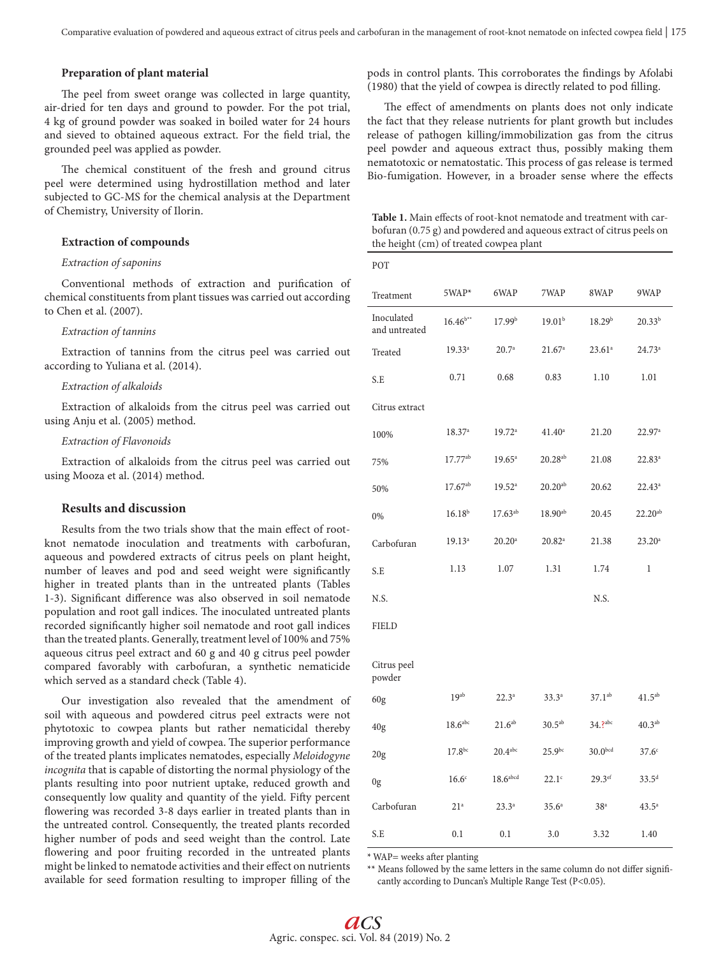### **Preparation of plant material**

The peel from sweet orange was collected in large quantity, air-dried for ten days and ground to powder. For the pot trial, 4 kg of ground powder was soaked in boiled water for 24 hours and sieved to obtained aqueous extract. For the field trial, the grounded peel was applied as powder.

The chemical constituent of the fresh and ground citrus peel were determined using hydrostillation method and later subjected to GC-MS for the chemical analysis at the Department of Chemistry, University of Ilorin.

### **Extraction of compounds**

#### *Extraction of saponins*

Conventional methods of extraction and purification of chemical constituents from plant tissues was carried out according to Chen et al. (2007).

#### *Extraction of tannins*

Extraction of tannins from the citrus peel was carried out according to Yuliana et al. (2014).

### *Extraction of alkaloids*

Extraction of alkaloids from the citrus peel was carried out using Anju et al. (2005) method.

#### *Extraction of Flavonoids*

Extraction of alkaloids from the citrus peel was carried out using Mooza et al. (2014) method.

# **Results and discussion**

Results from the two trials show that the main effect of rootknot nematode inoculation and treatments with carbofuran, aqueous and powdered extracts of citrus peels on plant height, number of leaves and pod and seed weight were significantly higher in treated plants than in the untreated plants (Tables 1-3). Significant difference was also observed in soil nematode population and root gall indices. The inoculated untreated plants recorded significantly higher soil nematode and root gall indices than the treated plants. Generally, treatment level of 100% and 75% aqueous citrus peel extract and 60 g and 40 g citrus peel powder compared favorably with carbofuran, a synthetic nematicide which served as a standard check (Table 4).

Our investigation also revealed that the amendment of soil with aqueous and powdered citrus peel extracts were not phytotoxic to cowpea plants but rather nematicidal thereby improving growth and yield of cowpea. The superior performance of the treated plants implicates nematodes, especially *Meloidogyne incognita* that is capable of distorting the normal physiology of the plants resulting into poor nutrient uptake, reduced growth and consequently low quality and quantity of the yield. Fifty percent flowering was recorded 3-8 days earlier in treated plants than in the untreated control. Consequently, the treated plants recorded higher number of pods and seed weight than the control. Late flowering and poor fruiting recorded in the untreated plants might be linked to nematode activities and their effect on nutrients available for seed formation resulting to improper filling of the pods in control plants. This corroborates the findings by Afolabi (1980) that the yield of cowpea is directly related to pod filling.

The effect of amendments on plants does not only indicate the fact that they release nutrients for plant growth but includes release of pathogen killing/immobilization gas from the citrus peel powder and aqueous extract thus, possibly making them nematotoxic or nematostatic. This process of gas release is termed Bio-fumigation. However, in a broader sense where the effects

**Table 1.** Main effects of root-knot nematode and treatment with carbofuran (0.75 g) and powdered and aqueous extract of citrus peels on the height (cm) of treated cowpea plant

| POT                         |                    |                       |                    |                     |                   |
|-----------------------------|--------------------|-----------------------|--------------------|---------------------|-------------------|
| Treatment                   | 5WAP*              | 6WAP                  | 7WAP               | 8WAP                | 9WAP              |
| Inoculated<br>and untreated | $16.46^{b**}$      | 17.99 <sup>b</sup>    | 19.01 <sup>b</sup> | 18.29 <sup>b</sup>  | $20.33^{b}$       |
| Treated                     | $19.33^{a}$        | 20.7 <sup>a</sup>     | 21.67 <sup>a</sup> | $23.61^a$           | $24.73^{a}$       |
| S.E                         | 0.71               | 0.68                  | 0.83               | 1.10                | 1.01              |
| Citrus extract              |                    |                       |                    |                     |                   |
| 100%                        | 18.37a             | 19.72a                | $41.40^a$          | 21.20               | 22.97a            |
| 75%                         | $17.77^{ab}$       | $19.65^{\circ}$       | $20.28^{ab}$       | 21.08               | $22.83^{a}$       |
| 50%                         | $17.67^{ab}$       | $19.52^a$             | $20.20^{ab}$       | 20.62               | $22.43^a$         |
| 0%                          | $16.18^{b}$        | $17.63^{ab}$          | $18.90^{ab}$       | 20.45               | $22.20^{ab}$      |
| Carbofuran                  | $19.13^{a}$        | $20.20^a$             | $20.82^{a}$        | 21.38               | $23.20^a$         |
| S.E                         | 1.13               | 1.07                  | 1.31               | 1.74                | 1                 |
| N.S.                        |                    |                       |                    | N.S.                |                   |
| <b>FIELD</b>                |                    |                       |                    |                     |                   |
| Citrus peel<br>powder       |                    |                       |                    |                     |                   |
| 60 <sub>g</sub>             | $19^{ab}$          | $22.3^{a}$            | $33.3^{a}$         | $37.1^{ab}$         | $41.5^{ab}$       |
| 40 <sub>g</sub>             | $18.6$ abc         | 21.6 <sup>ab</sup>    | $30.5^{ab}$        | 34.?abc             | $40.3^{ab}$       |
| 20 <sub>g</sub>             | 17.8 <sup>bc</sup> | $20.4$ <sup>abc</sup> | $25.9^{bc}$        | 30.0 <sup>bcd</sup> | 37.6 <sup>c</sup> |
| 0g                          | 16.6 <sup>c</sup>  | $18.6a$ bcd           | $22.1^\circ$       | 29.3ef              | $33.5^{d}$        |
| Carbofuran                  | 21 <sup>a</sup>    | $23.3^{a}$            | $35.6^{\circ}$     | 38 <sup>a</sup>     | $43.5^{\circ}$    |
| S.E                         | 0.1                | 0.1                   | 3.0                | 3.32                | 1.40              |

\* WAP= weeks after planting

\*\* Means followed by the same letters in the same column do not differ significantly according to Duncan's Multiple Range Test (P<0.05).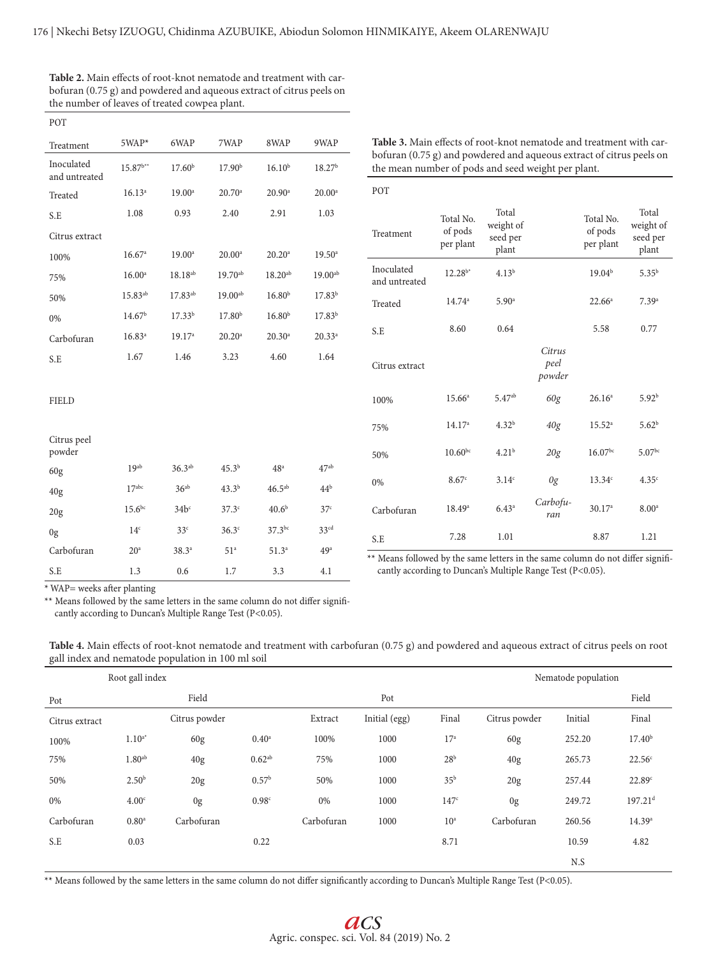| POT                         |                     |                    |                    |                      |                    |
|-----------------------------|---------------------|--------------------|--------------------|----------------------|--------------------|
| Treatment                   | 5WAP*               | 6WAP               | 7WAP               | 8WAP                 | 9WAP               |
| Inoculated<br>and untreated | $15.87^{b**}$       | 17.60 <sup>b</sup> | 17.90 <sup>b</sup> | $16.10^{b}$          | 18.27 <sup>b</sup> |
| Treated                     | $16.13^{a}$         | $19.00^{\circ}$    | 20.70a             | $20.90^{\circ}$      | $20.00^a$          |
| S.E                         | 1.08                | 0.93               | 2.40               | 2.91                 | 1.03               |
| Citrus extract              |                     |                    |                    |                      |                    |
| 100%                        | 16.67 <sup>a</sup>  | $19.00^a$          | $20.00^a$          | $20.20$ <sup>a</sup> | $19.50^{\circ}$    |
| 75%                         | $16.00^{\circ}$     | $18.18^{ab}$       | $19.70^{ab}$       | $18.20^{ab}$         | $19.00^{ab}$       |
| 50%                         | 15.83 <sup>ab</sup> | 17.83ab            | $19.00^{ab}$       | 16.80 <sup>b</sup>   | 17.83 <sup>b</sup> |
| 0%                          | 14.67 <sup>b</sup>  | $17.33^{b}$        | 17.80 <sup>b</sup> | 16.80 <sup>b</sup>   | $17.83^{b}$        |
| Carbofuran                  | $16.83^{a}$         | 19.17 <sup>a</sup> | $20.20^a$          | $20.30^a$            | $20.33^{a}$        |
| S.E                         | 1.67                | 1.46               | 3.23               | 4.60                 | 1.64               |
| <b>FIELD</b>                |                     |                    |                    |                      |                    |
| Citrus peel<br>powder       |                     |                    |                    |                      |                    |
| 60g                         | 19 <sub>ab</sub>    | $36.3^{ab}$        | $45.3^{b}$         | 48 <sup>a</sup>      | $47^{\rm ab}$      |
| 40g                         | $17^{abc}$          | 36 <sup>ab</sup>   | $43.3^{b}$         | $46.5^{ab}$          | 44 <sup>b</sup>    |
| 20g                         | $15.6^{bc}$         | 34b <sup>c</sup>   | 37.3 <sup>c</sup>  | 40.6 <sup>b</sup>    | 37 <sup>c</sup>    |
| 0g                          | 14 <sup>c</sup>     | 33 <sup>c</sup>    | 36.3 <sup>c</sup>  | $37.3^{bc}$          | 33 <sup>cd</sup>   |
| Carbofuran                  | 20 <sup>a</sup>     | $38.3^{a}$         | 51 <sup>a</sup>    | 51.3 <sup>a</sup>    | 49 <sup>a</sup>    |
| S.E                         | 1.3                 | 0.6                | 1.7                | 3.3                  | 4.1                |

| Table 2. Main effects of root-knot nematode and treatment with car-  |
|----------------------------------------------------------------------|
| bofuran (0.75 g) and powdered and aqueous extract of citrus peels on |
| the number of leaves of treated cowpea plant.                        |

| POT                         |                                   |                                         |                          |                                   |                                         |
|-----------------------------|-----------------------------------|-----------------------------------------|--------------------------|-----------------------------------|-----------------------------------------|
| Treatment                   | Total No.<br>of pods<br>per plant | Total<br>weight of<br>seed per<br>plant |                          | Total No.<br>of pods<br>per plant | Total<br>weight of<br>seed per<br>plant |
| Inoculated<br>and untreated | $12.28^{b*}$                      | $4.13^{b}$                              |                          | 19.04 <sup>b</sup>                | $5.35^{b}$                              |
| Treated                     | $14.74^a$                         | 5.90 <sup>a</sup>                       |                          | $22.66^a$                         | 7.39 <sup>a</sup>                       |
| S.E                         | 8.60                              | 0.64                                    |                          | 5.58                              | 0.77                                    |
| Citrus extract              |                                   |                                         | Citrus<br>peel<br>powder |                                   |                                         |
| 100%                        | $15.66^{\circ}$                   | $5.47^{ab}$                             | 60g                      | 26.16 <sup>a</sup>                | 5.92 <sup>b</sup>                       |
| 75%                         | 14.17 <sup>a</sup>                | 4.32 <sup>b</sup>                       | 40g                      | $15.52^{\circ}$                   | 5.62 <sup>b</sup>                       |
| 50%                         | $10.60^{bc}$                      | 4.21 <sup>b</sup>                       | 20g                      | $16.07^{bc}$                      | $5.07^{bc}$                             |
| 0%                          | 8.67c                             | 3.14c                                   | 0g                       | 13.34c                            | 4.35c                                   |
| Carbofuran                  | $18.49^{\circ}$                   | 6.43 <sup>a</sup>                       | Carbofu-<br>ran          | 30.17a                            | 8.00 <sup>a</sup>                       |
| S.E                         | 7.28                              | 1.01                                    |                          | 8.87                              | 1.21                                    |

**Table 3.** Main effects of root-knot nematode and treatment with carbofuran (0.75 g) and powdered and aqueous extract of citrus peels on

the mean number of pods and seed weight per plant.

\*\* Means followed by the same letters in the same column do not differ significantly according to Duncan's Multiple Range Test (P<0.05).

 $*$  WAP= weeks after planting

\*\* Means followed by the same letters in the same column do not differ significantly according to Duncan's Multiple Range Test (P<0.05).

| $\sim$         |                    | $\ddot{\phantom{1}}$ |                   |            |               |                  |                |                     |                       |
|----------------|--------------------|----------------------|-------------------|------------|---------------|------------------|----------------|---------------------|-----------------------|
|                | Root gall index    |                      |                   |            |               |                  |                | Nematode population |                       |
| Pot            |                    | Field                |                   |            | Pot           |                  |                |                     | Field                 |
| Citrus extract |                    | Citrus powder        |                   | Extract    | Initial (egg) | Final            | Citrus powder  | Initial             | Final                 |
| 100%           | $1.10^{a*}$        | 60g                  | 0.40 <sup>a</sup> | 100%       | 1000          | 17 <sup>a</sup>  | 60g            | 252.20              | 17.40 <sup>b</sup>    |
| 75%            | 1.80 <sup>ab</sup> | 40g                  | $0.62^{ab}$       | 75%        | 1000          | 28 <sup>b</sup>  | 40g            | 265.73              | 22.56 <sup>c</sup>    |
| 50%            | 2.50 <sup>b</sup>  | 20g                  | 0.57 <sup>b</sup> | 50%        | 1000          | 35 <sup>b</sup>  | 20g            | 257.44              | 22.89c                |
| 0%             | 4.00 <sup>c</sup>  | 0 <sub>g</sub>       | 0.98 <sup>c</sup> | 0%         | 1000          | 147 <sup>c</sup> | 0 <sub>g</sub> | 249.72              | $197.21$ <sup>d</sup> |
| Carbofuran     | 0.80 <sup>a</sup>  | Carbofuran           |                   | Carbofuran | 1000          | 10 <sup>a</sup>  | Carbofuran     | 260.56              | 14.39a                |
| S.E            | 0.03               |                      | 0.22              |            |               | 8.71             |                | 10.59               | 4.82                  |
|                |                    |                      |                   |            |               |                  |                | N.S                 |                       |

**Table 4.** Main effects of root-knot nematode and treatment with carbofuran (0.75 g) and powdered and aqueous extract of citrus peels on root gall index and nematode population in 100 ml soil

\*\* Means followed by the same letters in the same column do not differ significantly according to Duncan's Multiple Range Test (P<0.05).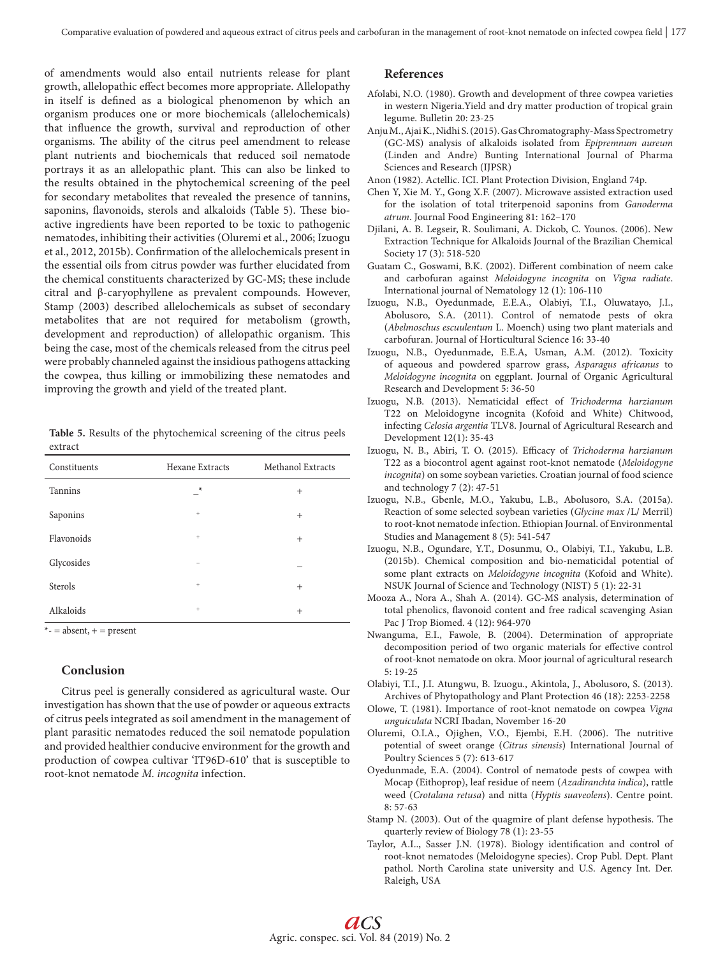of amendments would also entail nutrients release for plant growth, allelopathic effect becomes more appropriate. Allelopathy in itself is defined as a biological phenomenon by which an organism produces one or more biochemicals (allelochemicals) that influence the growth, survival and reproduction of other organisms. The ability of the citrus peel amendment to release plant nutrients and biochemicals that reduced soil nematode portrays it as an allelopathic plant. This can also be linked to the results obtained in the phytochemical screening of the peel for secondary metabolites that revealed the presence of tannins, saponins, flavonoids, sterols and alkaloids (Table 5). These bioactive ingredients have been reported to be toxic to pathogenic nematodes, inhibiting their activities (Oluremi et al., 2006; Izuogu et al., 2012, 2015b). Confirmation of the allelochemicals present in the essential oils from citrus powder was further elucidated from the chemical constituents characterized by GC-MS; these include citral and β-caryophyllene as prevalent compounds. However, Stamp (2003) described allelochemicals as subset of secondary metabolites that are not required for metabolism (growth, development and reproduction) of allelopathic organism. This being the case, most of the chemicals released from the citrus peel were probably channeled against the insidious pathogens attacking the cowpea, thus killing or immobilizing these nematodes and improving the growth and yield of the treated plant.

**Table 5.** Results of the phytochemical screening of the citrus peels extract

| Constituents   | Hexane Extracts                  | Methanol Extracts |
|----------------|----------------------------------|-------------------|
| <b>Tannins</b> | $\star$                          | $^{+}$            |
| Saponins       | $+$                              | $+$               |
| Flavonoids     | $\begin{array}{c} + \end{array}$ | $^{+}$            |
| Glycosides     |                                  |                   |
| Sterols        | $+$                              | $+$               |
| Alkaloids      | $+$                              | $^{+}$            |

 $*$ - = absent, + = present

# **Conclusion**

Citrus peel is generally considered as agricultural waste. Our investigation has shown that the use of powder or aqueous extracts of citrus peels integrated as soil amendment in the management of plant parasitic nematodes reduced the soil nematode population and provided healthier conducive environment for the growth and production of cowpea cultivar 'IT96D-610' that is susceptible to root-knot nematode *M. incognita* infection.

## **References**

- Afolabi, N.O. (1980). Growth and development of three cowpea varieties in western Nigeria.Yield and dry matter production of tropical grain legume. Bulletin 20: 23-25
- Anju M., Ajai K., Nidhi S. (2015). Gas Chromatography-Mass Spectrometry (GC-MS) analysis of alkaloids isolated from *Epipremnum aureum* (Linden and Andre) Bunting International Journal of Pharma Sciences and Research (IJPSR)
- Anon (1982). Actellic. ICI. Plant Protection Division, England 74p.
- Chen Y, Xie M. Y., Gong X.F. (2007). Microwave assisted extraction used for the isolation of total triterpenoid saponins from *Ganoderma atrum*. Journal Food Engineering 81: 162–170
- Djilani, A. B. Legseir, R. Soulimani, A. Dickob, C. Younos. (2006). New Extraction Technique for Alkaloids Journal of the Brazilian Chemical Society 17 (3): 518-520
- Guatam C., Goswami, B.K. (2002). Different combination of neem cake and carbofuran against *Meloidogyne incognita* on *Vigna radiate*. International journal of Nematology 12 (1): 106-110
- Izuogu, N.B., Oyedunmade, E.E.A., Olabiyi, T.I., Oluwatayo, J.I., Abolusoro, S.A. (2011). Control of nematode pests of okra (*Abelmoschus escuulentum* L. Moench) using two plant materials and carbofuran. Journal of Horticultural Science 16: 33-40
- Izuogu, N.B., Oyedunmade, E.E.A, Usman, A.M. (2012). Toxicity of aqueous and powdered sparrow grass, *Asparagus africanus* to *Meloidogyne incognita* on eggplant. Journal of Organic Agricultural Research and Development 5: 36-50
- Izuogu, N.B. (2013). Nematicidal effect of *Trichoderma harzianum* T22 on Meloidogyne incognita (Kofoid and White) Chitwood, infecting *Celosia argentia* TLV8. Journal of Agricultural Research and Development 12(1): 35-43
- Izuogu, N. B., Abiri, T. O. (2015). Efficacy of *Trichoderma harzianum* T22 as a biocontrol agent against root-knot nematode (*Meloidogyne incognita*) on some soybean varieties. Croatian journal of food science and technology 7 (2): 47-51
- Izuogu, N.B., Gbenle, M.O., Yakubu, L.B., Abolusoro, S.A. (2015a). Reaction of some selected soybean varieties (*Glycine max* /L/ Merril) to root-knot nematode infection. Ethiopian Journal. of Environmental Studies and Management 8 (5): 541-547
- Izuogu, N.B., Ogundare, Y.T., Dosunmu, O., Olabiyi, T.I., Yakubu, L.B. (2015b). Chemical composition and bio-nematicidal potential of some plant extracts on *Meloidogyne incognita* (Kofoid and White). NSUK Journal of Science and Technology (NIST) 5 (1): 22-31
- Mooza A., Nora A., Shah A. (2014). GC-MS analysis, determination of total phenolics, flavonoid content and free radical scavenging Asian Pac J Trop Biomed. 4 (12): 964-970
- Nwanguma, E.I., Fawole, B. (2004). Determination of appropriate decomposition period of two organic materials for effective control of root-knot nematode on okra. Moor journal of agricultural research 5: 19-25
- Olabiyi, T.I., J.I. Atungwu, B. Izuogu., Akintola, J., Abolusoro, S. (2013). Archives of Phytopathology and Plant Protection 46 (18): 2253-2258
- Olowe, T. (1981). Importance of root-knot nematode on cowpea *Vigna unguiculata* NCRI Ibadan, November 16-20
- Oluremi, O.I.A., Ojighen, V.O., Ejembi, E.H. (2006). The nutritive potential of sweet orange (*Citrus sinensis*) International Journal of Poultry Sciences 5 (7): 613-617
- Oyedunmade, E.A. (2004). Control of nematode pests of cowpea with Mocap (Eithoprop), leaf residue of neem (*Azadiranchta indica*), rattle weed (*Crotalana retusa*) and nitta (*Hyptis suaveolens*). Centre point. 8: 57-63
- Stamp N. (2003). Out of the quagmire of plant defense hypothesis. The quarterly review of Biology 78 (1): 23-55
- Taylor, A.I.., Sasser J.N. (1978). Biology identification and control of root-knot nematodes (Meloidogyne species). Crop Publ. Dept. Plant pathol. North Carolina state university and U.S. Agency Int. Der. Raleigh, USA